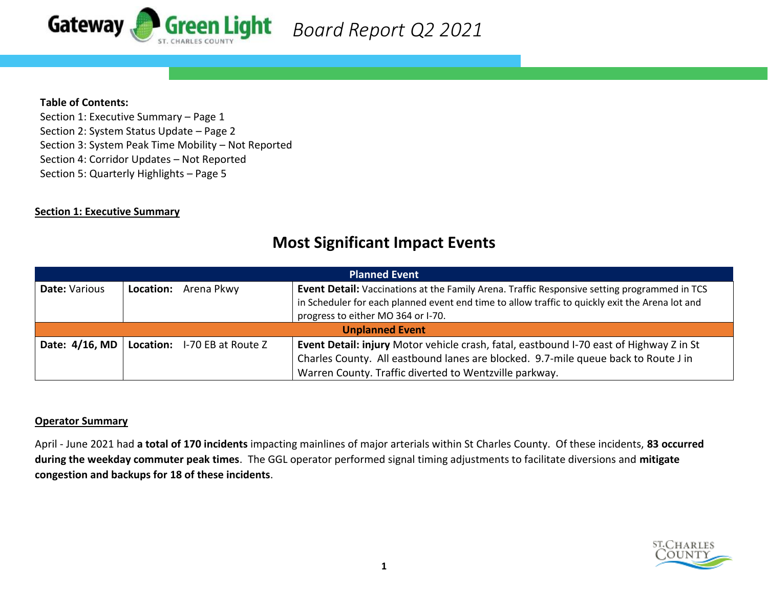

## **Table of Contents:**

Section 1: Executive Summary – Page 1 Section 2: System Status Update – Page 2 Section 3: System Peak Time Mobility – Not Reported Section 4: Corridor Updates – Not Reported Section 5: Quarterly Highlights – Page 5

# **Section 1: Executive Summary**

# **Most Significant Impact Events**

| <b>Planned Event</b>   |  |                                               |                                                                                                                                                                                                                                              |  |  |  |  |  |  |  |  |
|------------------------|--|-----------------------------------------------|----------------------------------------------------------------------------------------------------------------------------------------------------------------------------------------------------------------------------------------------|--|--|--|--|--|--|--|--|
| Date: Various          |  | Location: Arena Pkwy                          | <b>Event Detail:</b> Vaccinations at the Family Arena. Traffic Responsive setting programmed in TCS<br>in Scheduler for each planned event end time to allow traffic to quickly exit the Arena lot and<br>progress to either MO 364 or I-70. |  |  |  |  |  |  |  |  |
| <b>Unplanned Event</b> |  |                                               |                                                                                                                                                                                                                                              |  |  |  |  |  |  |  |  |
|                        |  | Date: 4/16, MD   Location: I-70 EB at Route Z | Event Detail: injury Motor vehicle crash, fatal, eastbound I-70 east of Highway Z in St<br>Charles County. All eastbound lanes are blocked. 9.7-mile queue back to Route J in<br>Warren County. Traffic diverted to Wentzville parkway.      |  |  |  |  |  |  |  |  |

#### **Operator Summary**

April - June 2021 had **a total of 170 incidents** impacting mainlines of major arterials within St Charles County. Of these incidents, **83 occurred during the weekday commuter peak times**. The GGL operator performed signal timing adjustments to facilitate diversions and **mitigate congestion and backups for 18 of these incidents**.

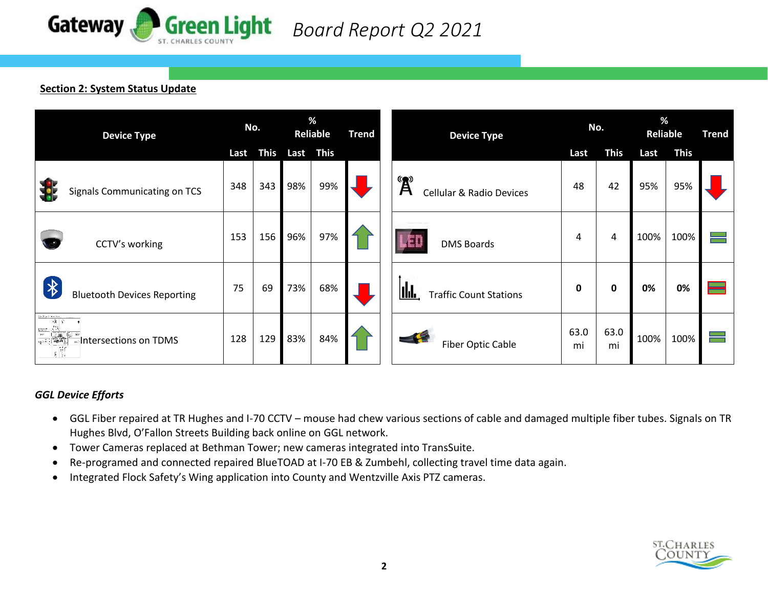

# **Section 2: System Status Update**

| <b>Device Type</b>                                                                                          |      | No.         |      | %<br>Reliable |  | <b>Device Type</b>                                                                      |            | No.         |      | %<br><b>Reliable</b> |  |
|-------------------------------------------------------------------------------------------------------------|------|-------------|------|---------------|--|-----------------------------------------------------------------------------------------|------------|-------------|------|----------------------|--|
|                                                                                                             | Last | <b>This</b> | Last | <b>This</b>   |  |                                                                                         | Last       | <b>This</b> | Last | <b>This</b>          |  |
| Signals Communicating on TCS                                                                                | 348  | 343         | 98%  | 99%           |  | $\mathbf{A}^{\mathbf{B}}$<br><b>Cellular &amp; Radio Devices</b>                        | 48         | 42          | 95%  | 95%                  |  |
| CCTV's working                                                                                              | 153  | 156         | 96%  | 97%           |  | الألكر<br><b>DMS Boards</b>                                                             | 4          | 4           | 100% | 100%                 |  |
| $\bigtriangledown$<br><b>Bluetooth Devices Reporting</b>                                                    | 75   | 69          | 73%  | 68%           |  | IId.<br><b>Traffic Count Stations</b>                                                   | 0          | 0           | 0%   | 0%                   |  |
| in Royal Ave Rea<br>视学<br>$\frac{1}{\sqrt{2}}\left[\frac{1}{\sqrt{2}}\right]$<br>Intersections on TDMS<br>調 | 128  | 129         | 83%  | 84%           |  | $\begin{array}{c} \begin{array}{c} \end{array} \end{array}$<br><b>Fiber Optic Cable</b> | 63.0<br>mi | 63.0<br>mi  | 100% | 100%                 |  |

# *GGL Device Efforts*

- GGL Fiber repaired at TR Hughes and I-70 CCTV mouse had chew various sections of cable and damaged multiple fiber tubes. Signals on TR Hughes Blvd, O'Fallon Streets Building back online on GGL network.
- Tower Cameras replaced at Bethman Tower; new cameras integrated into TransSuite.
- Re-programed and connected repaired BlueTOAD at I-70 EB & Zumbehl, collecting travel time data again.
- Integrated Flock Safety's Wing application into County and Wentzville Axis PTZ cameras.

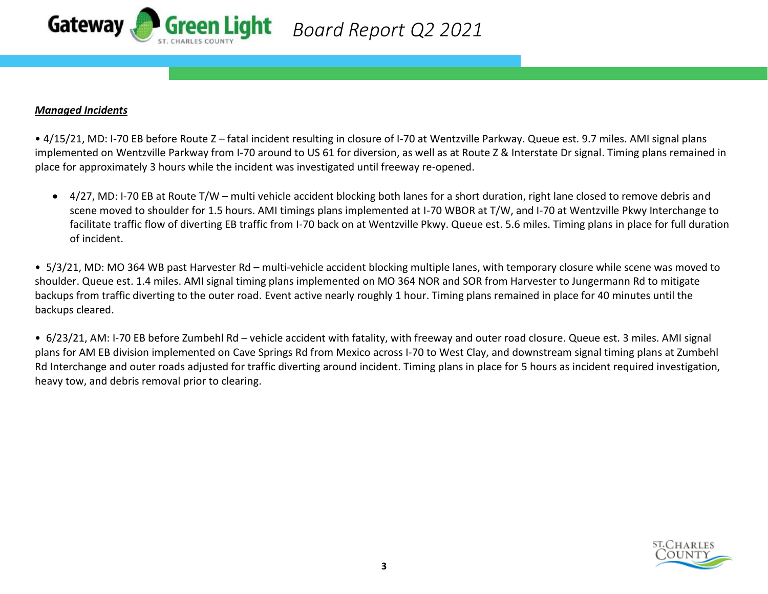

### *Managed Incidents*

• 4/15/21, MD: I-70 EB before Route Z – fatal incident resulting in closure of I-70 at Wentzville Parkway. Queue est. 9.7 miles. AMI signal plans implemented on Wentzville Parkway from I-70 around to US 61 for diversion, as well as at Route Z & Interstate Dr signal. Timing plans remained in place for approximately 3 hours while the incident was investigated until freeway re-opened.

• 4/27, MD: I-70 EB at Route T/W – multi vehicle accident blocking both lanes for a short duration, right lane closed to remove debris and scene moved to shoulder for 1.5 hours. AMI timings plans implemented at I-70 WBOR at T/W, and I-70 at Wentzville Pkwy Interchange to facilitate traffic flow of diverting EB traffic from I-70 back on at Wentzville Pkwy. Queue est. 5.6 miles. Timing plans in place for full duration of incident.

• 5/3/21, MD: MO 364 WB past Harvester Rd – multi-vehicle accident blocking multiple lanes, with temporary closure while scene was moved to shoulder. Queue est. 1.4 miles. AMI signal timing plans implemented on MO 364 NOR and SOR from Harvester to Jungermann Rd to mitigate backups from traffic diverting to the outer road. Event active nearly roughly 1 hour. Timing plans remained in place for 40 minutes until the backups cleared.

• 6/23/21, AM: I-70 EB before Zumbehl Rd – vehicle accident with fatality, with freeway and outer road closure. Queue est. 3 miles. AMI signal plans for AM EB division implemented on Cave Springs Rd from Mexico across I-70 to West Clay, and downstream signal timing plans at Zumbehl Rd Interchange and outer roads adjusted for traffic diverting around incident. Timing plans in place for 5 hours as incident required investigation, heavy tow, and debris removal prior to clearing.

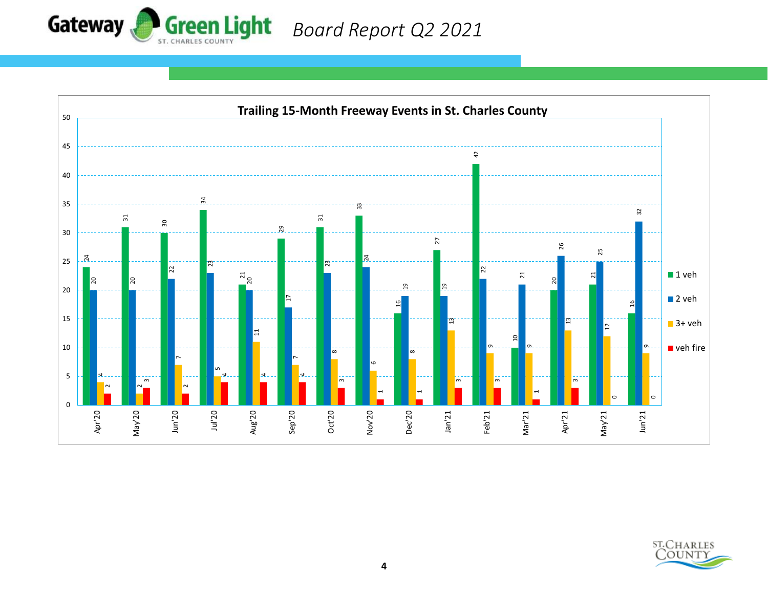